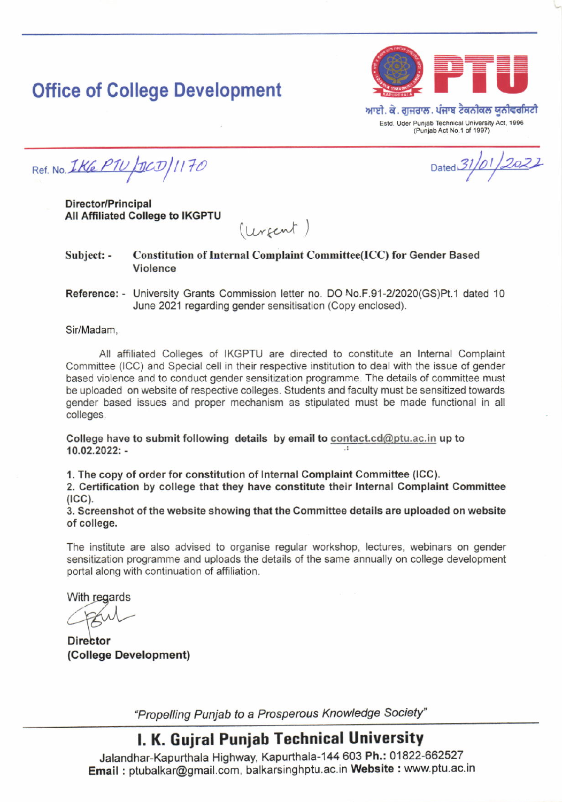# **Office of College Development**



ਆਈ. ਕੇ. ਗੁਜਰਾਲ. ਪੰਜਾਬ ਟੈਕਨੀਕਲ ਯੂਨੀਵਰਸਿਟੀ Estd. Uder Punjab Technical University Act, 1996 (Punjab Act No.1 of 1997)

Dated 31/01/2022

Ref. No. IKE PIU / DCD / 1170

Director/Principal All Affiliated College to IKGPTU

 $(ur_{sent})$ 

Subject: - Constitution of Internal Complaint Committee(ICC) for Gender Based Violence

Reference: - University Grants Commission letter no. DO No.F.91-2/2020(GS)Pt.1 dated 10 June 2021 regarding gender sensitisation (Copy enclosed).

Sir/Madam.

All affiliated Colleges of IKGPTU are directed to constitute an Internal Complaint Committee (ICC) and Special cell in their respective institution to deal with the issue of gender based violence and to conduct gender sensitization programme. The details of committee must be uploaded on website of respective colleges. Students and faculty must be sensitized towards gender based issues and proper mechanism as stipulated must be made functional in all colleges.

College have to submit following details by email to contact.cd@ptu.ac.in up to 10.02.2022i -

1. The copy of order for constitution of Internal Complaint Committee (ICC).

2. Certitication by college that they have constitute their Internal Complaint Committee  $(ICC)$ .

3. Screenshot of the website showing that the Committee details are uploaded on website of college.

The institute are also advised to organise regular workshop, lectures, webinars on gender sensitization programme and uploads the details of the same annually on college development portal along with continuation of affiliation.

With regards

**Director** (College Development)

'Propelting Punjab to a Prosperous Knowledge Society"

## l. K. Gujral Puniab Technical University

Jalandhar-Kapurthala Highway, Kapurthala-144 603 Ph.: 01822-662527 Email: ptubalkar@gmail.com, balkarsinghptu.ac.in Website: www.ptu.ac.in